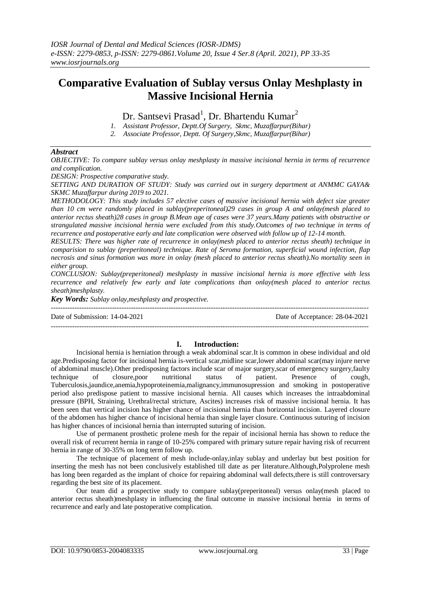# **Comparative Evaluation of Sublay versus Onlay Meshplasty in Massive Incisional Hernia**

Dr. Santsevi Prasad<sup>1</sup>, Dr. Bhartendu Kumar<sup>2</sup>

- *1. Assistant Professor, Deptt.Of Surgery, Skmc, Muzaffarpur(Bihar)*
- *2. Associate Professor, Deptt. Of Surgery,Skmc, Muzaffarpur(Bihar)*

## *Abstract*

*OBJECTIVE: To compare sublay versus onlay meshplasty in massive incisional hernia in terms of recurrence and complication.*

*DESIGN: Prospective comparative study.*

*SETTING AND DURATION OF STUDY: Study was carried out in surgery department at ANMMC GAYA& SKMC Muzaffarpur during 2019 to 2021.*

*METHODOLOGY: This study includes 57 elective cases of massive incisional hernia with defect size greater than 10 cm were randomly placed in sublay(preperitoneal)29 cases in group A and onlay(mesh placed to anterior rectus sheath)28 cases in group B.Mean age of cases were 37 years.Many patients with obstructive or strangulated massive incisional hernia were excluded from this study.Outcomes of two technique in terms of recurrence and postoperative early and late complication were observed with follow up of 12-14 month.*

*RESULTS: There was higher rate of recurrence in onlay(mesh placed to anterior rectus sheath) technique in comparision to sublay (preperitoneal) technique. Rate of Seroma formation, superficial wound infection, flap necrosis and sinus formation was more in onlay (mesh placed to anterior rectus sheath).No mortality seen in either group.*

*CONCLUSION: Sublay(preperitoneal) meshplasty in massive incisional hernia is more effective with less recurrence and relatively few early and late complications than onlay(mesh placed to anterior rectus sheath)meshplasty.*

*Key Words: Sublay onlay,meshplasty and prospective.* ---------------------------------------------------------------------------------------------------------------------------------------

Date of Submission: 14-04-2021 Date of Acceptance: 28-04-2021

---------------------------------------------------------------------------------------------------------------------------------------

## **I. Introduction:**

Incisional hernia is herniation through a weak abdominal scar.It is common in obese individual and old age.Predisposing factor for incisional hernia is-vertical scar,midline scar,lower abdominal scar(may injure nerve of abdominal muscle).Other predisposing factors include scar of major surgery,scar of emergency surgery,faulty technique of closure,poor nutritional status of patient. Presence of cough, Tuberculosis,jaundice,anemia,hypoproteinemia,malignancy,immunosupression and smoking in postoperative period also predispose patient to massive incisional hernia. All causes which increases the intraabdominal pressure (BPH, Straining, Urethral/rectal stricture, Ascites) increases risk of massive incisional hernia. It has been seen that vertical incision has higher chance of incisional hernia than horizontal incision. Layered closure of the abdomen has higher chance of incisional hernia than single layer closure. Continuous suturing of incision has higher chances of incisional hernia than interrupted suturing of incision.

Use of permanent prosthetic prolene mesh for the repair of incisional hernia has shown to reduce the overall risk of recurrent hernia in range of 10-25% compared with primary suture repair having risk of recurrent hernia in range of 30-35% on long term follow up.

The technique of placement of mesh include-onlay,inlay sublay and underlay but best position for inserting the mesh has not been conclusively established till date as per literature.Although,Polyprolene mesh has long been regarded as the implant of choice for repairing abdominal wall defects,there is still controversary regarding the best site of its placement.

Our team did a prospective study to compare sublay(preperitoneal) versus onlay(mesh placed to anterior rectus sheath)meshplasty in influencing the final outcome in massive incisional hernia in terms of recurrence and early and late postoperative complication.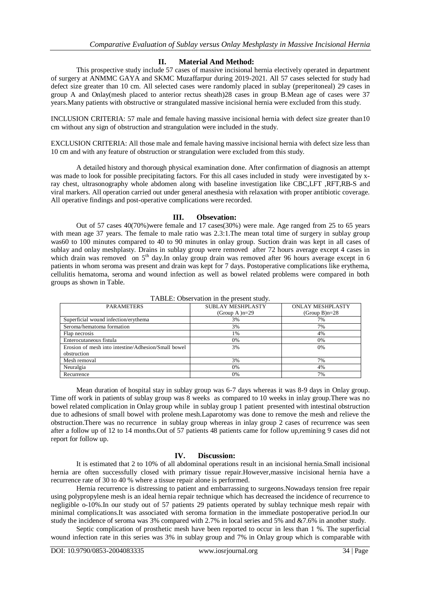## **II. Material And Method:**

This prospective study include 57 cases of massive incisional hernia electively operated in department of surgery at ANMMC GAYA and SKMC Muzaffarpur during 2019-2021. All 57 cases selected for study had defect size greater than 10 cm. All selected cases were randomly placed in sublay (preperitoneal) 29 cases in group A and Onlay(mesh placed to anterior rectus sheath)28 cases in group B.Mean age of cases were 37 years.Many patients with obstructive or strangulated massive incisional hernia were excluded from this study.

INCLUSION CRITERIA: 57 male and female having massive incisional hernia with defect size greater than10 cm without any sign of obstruction and strangulation were included in the study.

EXCLUSION CRITERIA: All those male and female having massive incisional hernia with defect size less than 10 cm and with any feature of obstruction or strangulation were excluded from this study.

A detailed history and thorough physical examination done. After confirmation of diagnosis an attempt was made to look for possible precipitating factors. For this all cases included in study were investigated by xray chest, ultrasonography whole abdomen along with baseline investigation like CBC,LFT ,RFT,RB-S and viral markers. All operation carried out under general anesthesia with relaxation with proper antibiotic coverage. All operative findings and post-operative complications were recorded.

### **III. Obsevation:**

Out of 57 cases 40(70%)were female and 17 cases(30%) were male. Age ranged from 25 to 65 years with mean age 37 years. The female to male ratio was 2.3:1. The mean total time of surgery in sublay group was60 to 100 minutes compared to 40 to 90 minutes in onlay group. Suction drain was kept in all cases of sublay and onlay meshplasty. Drains in sublay group were removed after 72 hours average except 4 cases in which drain was removed on 5<sup>th</sup> day.In onlay group drain was removed after 96 hours average except in 6 patients in whom seroma was present and drain was kept for 7 days. Postoperative complications like erythema, cellulitis hematoma, seroma and wound infection as well as bowel related problems were compared in both groups as shown in Table.

| <b>PARAMETERS</b>                                   | <b>SUBLAY MESHPLASTY</b> | <b>ONLAY MESHPLASTY</b> |
|-----------------------------------------------------|--------------------------|-------------------------|
|                                                     | (Group A) $n=29$         | $(Group B)n=28$         |
| Superficial wound infection/erythema                | 3%                       | 7%                      |
| Seroma/hematoma formation                           | 3%                       | 7%                      |
| Flap necrosis                                       | 1%                       | 4%                      |
| Enterocutaneous fistula                             | 0%                       | 0%                      |
| Erosion of mesh into intestine/Adhesion/Small bowel | 3%                       | 0%                      |
| obstruction                                         |                          |                         |
| Mesh removal                                        | 3%                       | 7%                      |
| Neuralgia                                           | 0%                       | 4%                      |
| Recurrence                                          | 0%                       | 7%                      |

TABLE: Observation in the present study.

Mean duration of hospital stay in sublay group was 6-7 days whereas it was 8-9 days in Onlay group. Time off work in patients of sublay group was 8 weeks as compared to 10 weeks in inlay group.There was no bowel related complication in Onlay group while in sublay group 1 patient presented with intestinal obstruction due to adhesions of small bowel with prolene mesh.Laparotomy was done to remove the mesh and relieve the obstruction.There was no recurrence in sublay group whereas in inlay group 2 cases of recurrence was seen after a follow up of 12 to 14 months.Out of 57 patients 48 patients came for follow up,remining 9 cases did not report for follow up.

## **IV. Discussion:**

It is estimated that 2 to 10% of all abdominal operations result in an incisional hernia.Small incisional hernia are often successfully closed with primary tissue repair.However,massive incisional hernia have a recurrence rate of 30 to 40 % where a tissue repair alone is performed.

Hernia recurrence is distressing to patient and embarrassing to surgeons.Nowadays tension free repair using polypropylene mesh is an ideal hernia repair technique which has decreased the incidence of recurrence to negligible o-10%.In our study out of 57 patients 29 patients operated by sublay technique mesh repair with minimal complications.It was associated with seroma formation in the immediate postoperative period.In our study the incidence of seroma was 3% compared with 2.7% in local series and 5% and &7.6% in another study.

Septic complication of prosthetic mesh have been reported to occur in less than 1 %. The superficial wound infection rate in this series was 3% in sublay group and 7% in Onlay group which is comparable with